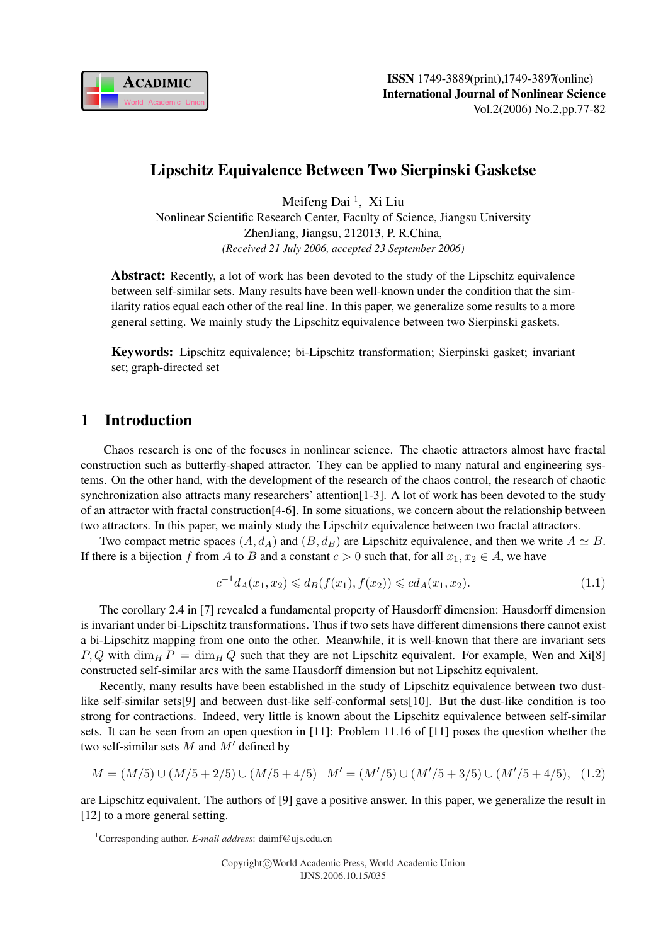

## Lipschitz Equivalence Between Two Sierpinski Gasketse

Meifeng Dai<sup>1</sup>, Xi Liu Nonlinear Scientific Research Center, Faculty of Science, Jiangsu University ZhenJiang, Jiangsu, 212013, P. R.China, *(Received 21 July 2006, accepted 23 September 2006)*

Abstract: Recently, a lot of work has been devoted to the study of the Lipschitz equivalence between self-similar sets. Many results have been well-known under the condition that the similarity ratios equal each other of the real line. In this paper, we generalize some results to a more general setting. We mainly study the Lipschitz equivalence between two Sierpinski gaskets.

Keywords: Lipschitz equivalence; bi-Lipschitz transformation; Sierpinski gasket; invariant set; graph-directed set

### 1 Introduction

Chaos research is one of the focuses in nonlinear science. The chaotic attractors almost have fractal construction such as butterfly-shaped attractor. They can be applied to many natural and engineering systems. On the other hand, with the development of the research of the chaos control, the research of chaotic synchronization also attracts many researchers' attention[1-3]. A lot of work has been devoted to the study of an attractor with fractal construction[4-6]. In some situations, we concern about the relationship between two attractors. In this paper, we mainly study the Lipschitz equivalence between two fractal attractors.

Two compact metric spaces  $(A, d_A)$  and  $(B, d_B)$  are Lipschitz equivalence, and then we write  $A \simeq B$ . If there is a bijection f from A to B and a constant  $c > 0$  such that, for all  $x_1, x_2 \in A$ , we have

$$
c^{-1}d_A(x_1, x_2) \leq d_B(f(x_1), f(x_2)) \leq c d_A(x_1, x_2). \tag{1.1}
$$

The corollary 2.4 in [7] revealed a fundamental property of Hausdorff dimension: Hausdorff dimension is invariant under bi-Lipschitz transformations. Thus if two sets have different dimensions there cannot exist a bi-Lipschitz mapping from one onto the other. Meanwhile, it is well-known that there are invariant sets  $P, Q$  with  $\dim_H P = \dim_H Q$  such that they are not Lipschitz equivalent. For example, Wen and Xi[8] constructed self-similar arcs with the same Hausdorff dimension but not Lipschitz equivalent.

Recently, many results have been established in the study of Lipschitz equivalence between two dustlike self-similar sets[9] and between dust-like self-conformal sets[10]. But the dust-like condition is too strong for contractions. Indeed, very little is known about the Lipschitz equivalence between self-similar sets. It can be seen from an open question in [11]: Problem 11.16 of [11] poses the question whether the two self-similar sets  $M$  and  $M'$  defined by

$$
M = (M/5) \cup (M/5 + 2/5) \cup (M/5 + 4/5) \quad M' = (M'/5) \cup (M'/5 + 3/5) \cup (M'/5 + 4/5), \tag{1.2}
$$

are Lipschitz equivalent. The authors of [9] gave a positive answer. In this paper, we generalize the result in [12] to a more general setting.

<sup>1</sup>Corresponding author. *E-mail address*: daimf@ujs.edu.cn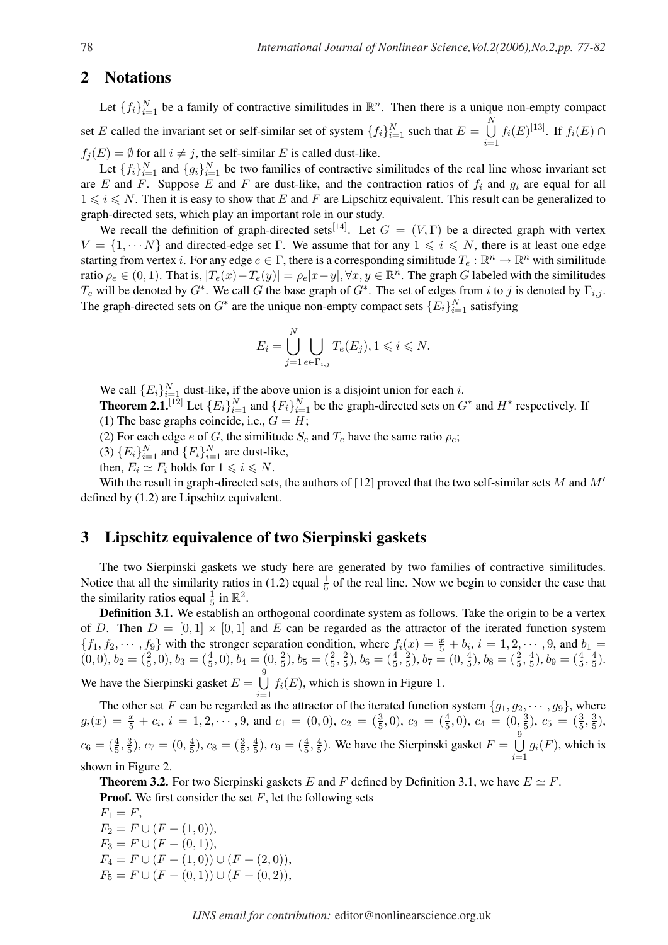#### 2 Notations

Let  $\{f_i\}_{i=1}^N$  be a family of contractive similitudes in  $\mathbb{R}^n$ . Then there is a unique non-empty compact set E called the invariant set or self-similar set of system  $\{f_i\}_{i=1}^N$  such that  $E =$  $\overline{N}$  $i=1$  $f_i(E)^{[13]}$ . If  $f_i(E) \cap$  $f_j(E) = \emptyset$  for all  $i \neq j$ , the self-similar E is called dust-like.

Let  $\{f_i\}_{i=1}^N$  and  $\{g_i\}_{i=1}^N$  be two families of contractive similitudes of the real line whose invariant set are E and F. Suppose E and F are dust-like, and the contraction ratios of  $f_i$  and  $g_i$  are equal for all  $1 \leq i \leq N$ . Then it is easy to show that E and F are Lipschitz equivalent. This result can be generalized to graph-directed sets, which play an important role in our study.

We recall the definition of graph-directed sets<sup>[14]</sup>. Let  $G = (V, \Gamma)$  be a directed graph with vertex  $V = \{1, \dots N\}$  and directed-edge set Γ. We assume that for any  $1 \leq i \leq N$ , there is at least one edge starting from vertex *i*. For any edge  $e \in \Gamma$ , there is a corresponding similitude  $T_e : \mathbb{R}^n \to \mathbb{R}^n$  with similitude ratio  $\rho_e \in (0, 1)$ . That is,  $|T_e(x) - T_e(y)| = \rho_e |x - y|$ ,  $\forall x, y \in \mathbb{R}^n$ . The graph G labeled with the similitudes  $T_e$  will be denoted by  $G^*$ . We call G the base graph of  $G^*$ . The set of edges from i to j is denoted by  $\Gamma_{i,j}$ . The graph-directed sets on  $G^*$  are the unique non-empty compact sets  $\{E_i\}_{i=1}^N$  satisfying

$$
E_i = \bigcup_{j=1}^N \bigcup_{e \in \Gamma_{i,j}} T_e(E_j), 1 \leqslant i \leqslant N.
$$

We call  ${E_i}_{i=1}^N$  dust-like, if the above union is a disjoint union for each i.

**Theorem 2.1.**<sup>[12]</sup> Let  $\{E_i\}_{i=1}^N$  and  $\{F_i\}_{i=1}^N$  be the graph-directed sets on  $G^*$  and  $H^*$  respectively. If (1) The base graphs coincide, i.e.,  $G = H$ ;

(2) For each edge e of G, the similitude  $S_e$  and  $T_e$  have the same ratio  $\rho_e$ ;

(3)  ${E_i}_{i=1}^N$  and  ${F_i}_{i=1}^N$  are dust-like,

then,  $E_i \simeq F_i$  holds for  $1 \leq i \leq N$ .

With the result in graph-directed sets, the authors of [12] proved that the two self-similar sets M and  $M'$ defined by (1.2) are Lipschitz equivalent.

#### 3 Lipschitz equivalence of two Sierpinski gaskets

The two Sierpinski gaskets we study here are generated by two families of contractive similitudes. Notice that all the similarity ratios in (1.2) equal  $\frac{1}{5}$  of the real line. Now we begin to consider the case that the similarity ratios equal  $\frac{1}{5}$  in  $\mathbb{R}^2$ .

**Definition 3.1.** We establish an orthogonal coordinate system as follows. Take the origin to be a vertex of D. Then  $D = [0, 1] \times [0, 1]$  and E can be regarded as the attractor of the iterated function system  $\{f_1, f_2, \dots, f_9\}$  with the stronger separation condition, where  $f_i(x) = \frac{x}{5} + b_i$ ,  $i = 1, 2, \dots, 9$ , and  $b_1 =$  $(0,0), b_2 = (\frac{2}{5},0), b_3 = (\frac{4}{5},0), b_4 = (0, \frac{2}{5})$  $(\frac{2}{5}), b_5 = (\frac{2}{5}, \frac{2}{5})$  $(\frac{2}{5}), b_6 = (\frac{4}{5}, \frac{2}{5})$  $(\frac{2}{5}), b_7 = (0, \frac{4}{5})$  $(\frac{4}{5}), b_8 = (\frac{2}{5}, \frac{4}{5})$  $(\frac{4}{5}), b_9 = (\frac{4}{5}, \frac{4}{5})$  $\frac{4}{5}$ ). We have the Sierpinski gasket  $E =$  $\frac{9}{1}$  $i=1$  $f_i(E)$ , which is shown in Figure 1.

The other set F can be regarded as the attractor of the iterated function system  ${g_1, g_2, \dots, g_9}$ , where  $g_i(x) = \frac{x}{5} + c_i$ ,  $i = 1, 2, \dots, 9$ , and  $c_1 = (0, 0)$ ,  $c_2 = (\frac{3}{5}, 0)$ ,  $c_3 = (\frac{4}{5}, 0)$ ,  $c_4 = (0, \frac{3}{5})$  $(\frac{3}{5}), c_5 = (\frac{3}{5}, \frac{3}{5})$  $\frac{3}{5}$ ),  $c_6 = (\frac{4}{5}, \frac{3}{5})$  $(\frac{3}{5}), c_7 = (0, \frac{4}{5})$  $(\frac{4}{5}), c_8 = (\frac{3}{5}, \frac{4}{5})$  $(\frac{4}{5}), c_9 = (\frac{4}{5}, \frac{4}{5})$  $\frac{4}{5}$ ). We have the Sierpinski gasket  $F =$  $\frac{9}{1}$  $i=1$  $g_i(F)$ , which is shown in Figure 2.

**Theorem 3.2.** For two Sierpinski gaskets E and F defined by Definition 3.1, we have  $E \simeq F$ . **Proof.** We first consider the set  $F$ , let the following sets

 $F_1 = F$ ,  $F_2 = F \cup (F + (1,0)),$  $F_3 = F \cup (F + (0,1)),$  $F_4 = F \cup (F + (1,0)) \cup (F + (2,0)),$  $F_5 = F \cup (F + (0,1)) \cup (F + (0,2)),$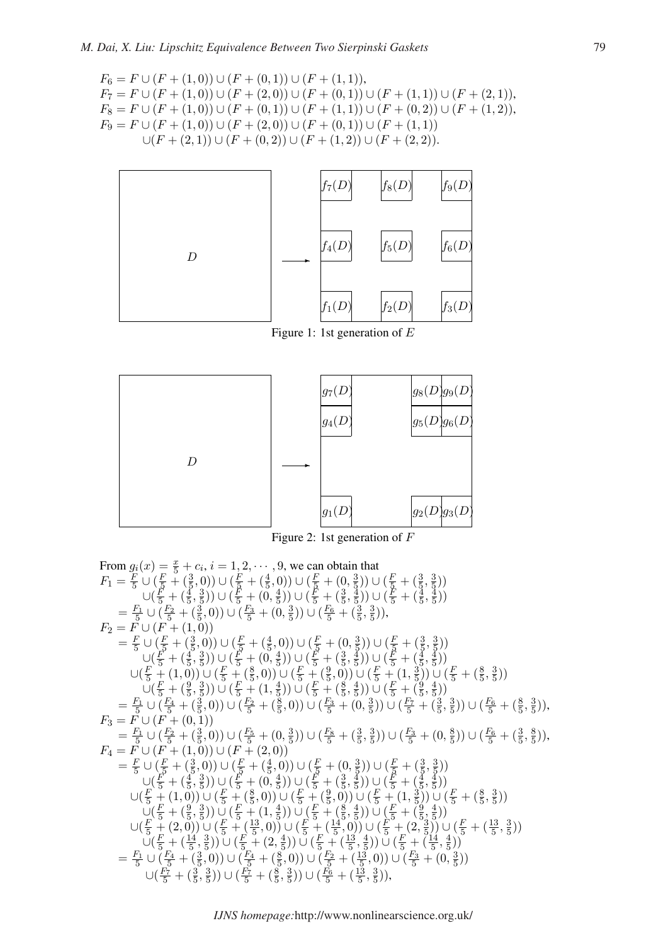$$
F_6 = F \cup (F + (1,0)) \cup (F + (0,1)) \cup (F + (1,1)),
$$
  
\n
$$
F_7 = F \cup (F + (1,0)) \cup (F + (2,0)) \cup (F + (0,1)) \cup (F + (1,1)) \cup (F + (2,1)),
$$
  
\n
$$
F_8 = F \cup (F + (1,0)) \cup (F + (0,1)) \cup (F + (1,1)) \cup (F + (0,2)) \cup (F + (1,2)),
$$
  
\n
$$
F_9 = F \cup (F + (1,0)) \cup (F + (2,0)) \cup (F + (0,1)) \cup (F + (1,1))
$$
  
\n
$$
\cup (F + (2,1)) \cup (F + (0,2)) \cup (F + (1,2)) \cup (F + (2,2)).
$$



Figure 1: 1st generation of E



Figure 2: 1st generation of F

From 
$$
g_i(x) = \frac{x}{5} + c_i, i = 1, 2, \dots, 9
$$
, we can obtain that  
\n
$$
F_1 = \frac{F}{5} \cup (\frac{F}{5} + (\frac{3}{5}, 0)) \cup (\frac{F}{5} + (\frac{4}{5}, 0)) \cup (\frac{F}{5} + (\frac{3}{5}, \frac{3}{5}))
$$
\n
$$
\cup (\frac{F}{5} + (\frac{4}{5}, \frac{3}{5})) \cup (\frac{F}{5} + (0, \frac{4}{5})) \cup (\frac{F}{5} + (\frac{3}{5}, \frac{4}{5}))
$$
\n
$$
= \frac{F_1}{5} \cup (\frac{F_2}{5} + (\frac{3}{5}, 0)) \cup (\frac{F_3}{5} + (0, \frac{3}{5})) \cup (\frac{F_6}{5} + (\frac{3}{5}, \frac{3}{5}))
$$
\n
$$
F_2 = F \cup (F + (1, 0))
$$
\n
$$
= \frac{F}{5} \cup (\frac{F}{5} + (\frac{4}{5}, 0)) \cup (\frac{F}{5} + (\frac{4}{5}, 0)) \cup (\frac{F}{5} + (\frac{3}{5}, \frac{3}{5}))
$$
\n
$$
\cup (\frac{F}{5} + (\frac{4}{5}, \frac{3}{5})) \cup (\frac{F}{5} + (\frac{4}{5}, 0)) \cup (\frac{F}{5} + (\frac{3}{5}, \frac{3}{5}))
$$
\n
$$
\cup (\frac{F}{5} + (1, 0)) \cup (\frac{F}{5} + (\frac{8}{5}, 0)) \cup (\frac{F}{5} + (\frac{8}{5}, \frac{4}{5})) \cup (\frac{F}{5} + (\frac{3}{5}, \frac{3}{5}))
$$
\n
$$
= \frac{F_1}{5} \cup (\frac{F_4}{5} + (\frac{3}{5}, 0)) \cup (\frac{F_2}{5} + (\frac{8}{5}, \frac{4}{5})) \cup (\frac{F_3}{5} + (\frac{8}{5}, \frac{4}{5})) \cup (\frac{F_4}{5} + (\frac{8}{5}, \frac{3}{5}))
$$
\n
$$
= \frac{F_1}{5} \cup (F_1 + (0, 1))
$$
\n
$$
= \frac{F_1}{5} \cup (F_2 + (\frac{3}{5}, 0)) \cup (\frac{F_
$$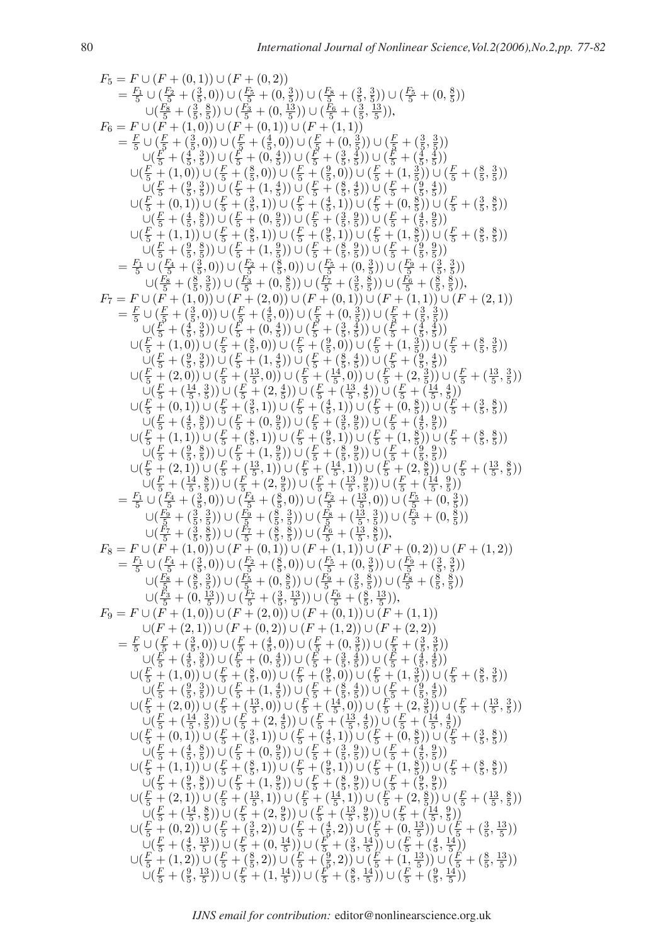$$
F_5 = F \cup (F + (0,1)) \cup (F + (0,2))
$$
\n
$$
= \frac{F_5}{} \cup (\frac{F_5}{5} + (\frac{3}{5},0)) \cup (\frac{F_5}{5} + (\frac{3}{5},\frac{3}{5})) \cup (\frac{F_5}{5} + (\frac{3}{5},\frac{3}{5}))
$$
\n
$$
F_6 = F \cup (F_6 + (\frac{3}{5},0)) \cup (\frac{F_6}{5} + (0,\frac{3}{5})) \cup (\frac{F_6}{5} + (\frac{3}{5},\frac{3}{5}))
$$
\n
$$
F_6 = F \cup (F_6 + (\frac{3}{5},0)) \cup (F_6 + (\frac{3}{5},0)) \cup (F_6 + (\frac{3}{5},\frac{3}{5}))
$$
\n
$$
F_6 = F \cup (F_6 + (\frac{3}{5},0)) \cup (F_6 + (\frac{3}{5},0)) \cup (F_6 + (\frac{3}{5},\frac{3}{5}))
$$
\n
$$
F_6 = F \cup (F_6 + (\frac{3}{5},0)) \cup (F_6 + (\frac{3}{5},0)) \cup (F_6 + (\frac{3}{5},\frac{3}{5}))
$$
\n
$$
F_6 = F \cup (F_6 + (\frac{3}{5},0)) \cup (F_6 + (\frac{3}{5},0)) \cup (F_6 + (\frac{3}{5},\frac{3}{5}))
$$
\n
$$
F_6 = F \cup (F_6 + (\frac{3}{5},0)) \cup (F_6 + (\frac{3}{5},0)) \cup (F_6 + (\frac{3}{5},\frac{3}{5}))
$$
\n
$$
F_6 = F \cup (F_6 + (\frac{3}{5},0)) \cup (F_6 + (\frac{3}{5},0)) \cup (F_6 + (\frac{3}{5},\frac{3}{5}))
$$
\n
$$
F_7 = F \cup (F_7 + (\frac{3}{5},0)) \cup (F_7 + (\frac{3}{5},0)) \cup (F_7 + (\frac{3}{5},0)) \cup (F_7 + (\frac{3}{5},\frac{3}{5}))
$$
\n
$$
F_7 = F \cup (F_7 + (\frac{3}{5},0)) \cup (F_7 + (\frac{3}{5},0)) \cup (F_7 + (\frac{3}{5},0)) \cup (F_7 + (\frac
$$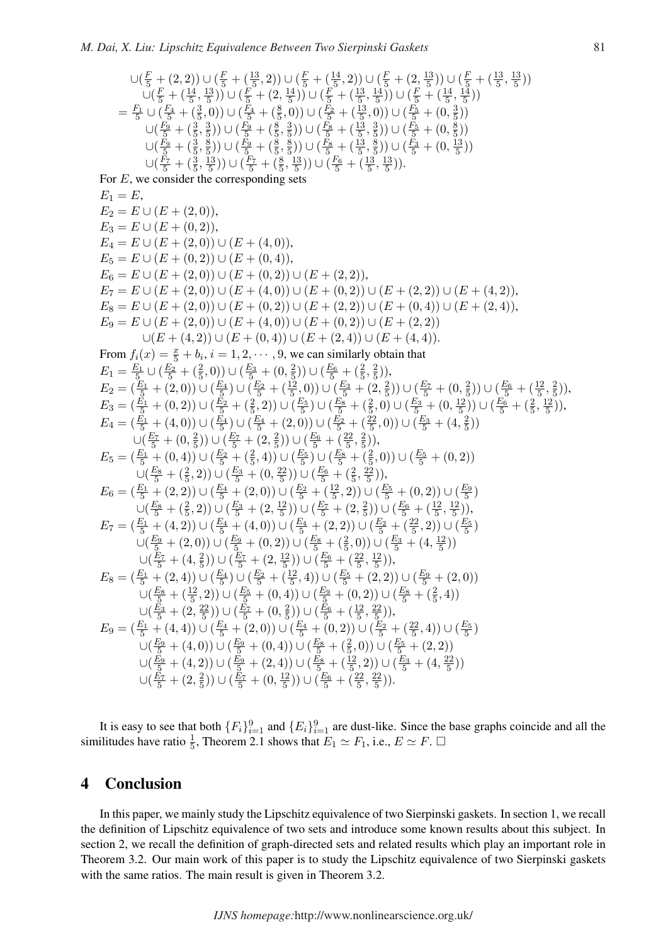$$
\bigcup (\frac{F}{5} + (2, 2)) \cup (\frac{F}{5} + (\frac{13}{5}, 2)) \cup (\frac{F}{5} + (\frac{14}{5}, 2)) \cup (\frac{F}{5} + (2, \frac{13}{5})) \cup (\frac{F}{5} + (\frac{13}{5}, \frac{13}{5}))
$$
\n
$$
\bigcup (\frac{F}{5} + (\frac{14}{5}, \frac{13}{5})) \cup (\frac{F}{5} + (2, \frac{14}{5})) \cup (\frac{F}{5} + (\frac{13}{5}, \frac{14}{5})) \cup (\frac{F}{5} + (\frac{14}{5}, \frac{14}{5}))
$$
\n
$$
= \frac{F_1}{5} \cup (\frac{F_4}{5} + (\frac{3}{5}, 0)) \cup (\frac{F_4}{5} + (\frac{8}{5}, 0)) \cup (\frac{F_2}{5} + (\frac{13}{5}, 0)) \cup (\frac{F_5}{5} + (0, \frac{3}{5}))
$$
\n
$$
\bigcup (\frac{F_9}{5} + (\frac{3}{5}, \frac{3}{5})) \cup (\frac{F_9}{5} + (\frac{8}{5}, \frac{3}{5})) \cup (\frac{F_8}{5} + (\frac{13}{5}, \frac{3}{5})) \cup (\frac{F_8}{5} + (0, \frac{8}{5}))
$$
\n
$$
\bigcup (\frac{F_9}{5} + (\frac{3}{5}, \frac{8}{5})) \cup (\frac{F_9}{5} + (\frac{8}{5}, \frac{8}{5})) \cup (\frac{F_8}{5} + (\frac{13}{5}, \frac{8}{5})) \cup (\frac{F_3}{5} + (0, \frac{13}{5}))
$$
\n
$$
\bigcup (\frac{F_7}{5} + (\frac{3}{5}, \frac{13}{5})) \bigcup (\frac{F_7}{5} + (\frac{8}{5}, \frac{13}{5})) \cup (\frac{F_7}{5} + (\frac{13}{5}, \frac{13}{5}))
$$

For  $E$ , we consider the corresponding sets

 $E_1 = E$ ,  $E_2 = E \cup (E + (2,0)),$  $E_3 = E \cup (E + (0, 2)).$  $E_4 = E \cup (E + (2,0)) \cup (E + (4,0)),$  $E_5 = E \cup (E + (0, 2)) \cup (E + (0, 4)),$  $E_6 = E \cup (E + (2,0)) \cup (E + (0,2)) \cup (E + (2,2)),$  $E_7 = E \cup (E + (2,0)) \cup (E + (4,0)) \cup (E + (0,2)) \cup (E + (2,2)) \cup (E + (4,2)),$  $E_8 = E \cup (E + (2,0)) \cup (E + (0,2)) \cup (E + (2,2)) \cup (E + (0,4)) \cup (E + (2,4)),$  $E_9 = E \cup (E + (2,0)) \cup (E + (4,0)) \cup (E + (0,2)) \cup (E + (2,2))$  $\bigcup (E + (4, 2)) \cup (E + (0, 4)) \cup (E + (2, 4)) \cup (E + (4, 4)).$ From  $f_i(x) = \frac{x}{5} + b_i$ ,  $i = 1, 2, \dots, 9$ , we can similarly obtain that  $E_1 = \frac{E_1}{5} \cup (\frac{E_2}{5} + (\frac{2}{5}, 0)) \cup (\frac{E_3}{5} + (0, \frac{2}{5}))$  $(\frac{2}{5})$ ) ∪ ( $(\frac{E_6}{5} + (\frac{2}{5}, \frac{2}{5}))$  $(\frac{2}{5})),$  $E_2 = \left(\frac{E_1}{5} + (2,0)\right) \cup \left(\frac{E_4}{5}\right) \cup \left(\frac{E_2}{5} + (\frac{12}{5},0)\right) \cup \left(\frac{E_3}{5} + (2,\frac{2}{5})\right)$  $(\frac{2}{5})) \cup (\frac{E_7}{5} + (0, \frac{2}{5}))$  $(\frac{2}{5})$ ) ∪ ( $\frac{E_6}{5}$  + ( $\frac{12}{5}, \frac{2}{5}$  $(\frac{2}{5})),$  $E_3 = (\frac{E_1}{5} + (0,2)) \cup (\frac{E_2}{5} + (\frac{2}{5},2)) \cup (\frac{E_5}{5}) \cup (\frac{E_8}{5} + (\frac{2}{5},0) \cup (\frac{E_3}{5} + (0,\frac{12}{5}))$  $\frac{12}{5})$ ) ∪ ( $\frac{E_6}{5}$  + ( $\frac{2}{5}$ ,  $\frac{12}{5}$  $(\frac{12}{5})$ ),  $E_4 = \left(\frac{E_1}{5} + (4,0)\right) \cup \left(\frac{E_4}{5}\right) \cup \left(\frac{E_4}{5} + (2,0)\right) \cup \left(\frac{E_2}{5} + (\frac{22}{5},0)\right) \cup \left(\frac{E_3}{5} + (4,\frac{2}{5})\right)$  $(\frac{2}{5})$  $\cup (\frac{E_7}{5} + (0, \frac{2}{5})) \cup (\frac{E_7}{5} + (2, \frac{2}{5})) \cup (\frac{E_6}{5} + (\frac{22}{5}, \frac{2}{5})),$  $E_5 = (\frac{E_1}{5} + (0,4)) \cup (\frac{E_2}{5} + (\frac{2}{5},4)) \cup (\frac{E_5}{5}) \cup (\frac{E_8}{5} + (\frac{2}{5},0)) \cup (\frac{E_5}{5} + (0,2))$  $\cup (\frac{E_8}{5} + (\frac{2}{5}, 2)) \cup (\frac{E_3}{5} + (0, \frac{22}{5}))$  $(\frac{22}{5})$ ) ∪ ( $\frac{E_6}{5}$  + ( $\frac{2}{5}$ ,  $\frac{22}{5}$  $(\frac{22}{5})),$  $E_6 = (\frac{E_1}{5} + (2,2)) \cup (\frac{E_4}{5} + (2,0)) \cup (\frac{E_2}{5} + (\frac{12}{5},2)) \cup (\frac{E_5}{5} + (0,2)) \cup (\frac{E_9}{5})$  $\cup (\frac{E_8}{5} + (\frac{2}{5}, 2)) \cup (\frac{E_3}{5} + (2, \frac{12}{5})$  $(\frac{12}{5})$ ) ∪ ( $\frac{E_7}{5}$  + (2,  $\frac{2}{5}$ )  $(\frac{2}{5})$ ) ∪ ( $(\frac{E_6}{5} + (\frac{12}{5}, \frac{12}{5}))$  $(\frac{12}{5})$ ),  $E_7 = (\frac{E_1}{5} + (4,2)) \cup (\frac{E_4}{5} + (4,0)) \cup (\frac{E_4}{5} + (2,2)) \cup (\frac{E_2}{5} + (\frac{22}{5},2)) \cup (\frac{E_5}{5})$ ∪( $\frac{E_9}{5}$  + (2, 0)) ∪ ( $\frac{E_9}{5}$  + (0, 2)) ∪ ( $\frac{E_8}{5}$  + ( $\frac{2}{5}$ , 0)) ∪ ( $\frac{E_3}{5}$  + (4,  $\frac{12}{5}$  $(\frac{12}{5})$  $\cup (\frac{E_7}{5} + (4, \frac{2}{5})$  $(\frac{2}{5})\big)\cup(\frac{E_7}{5}+(2,\frac{12}{5})$  $\left(\frac{12}{5}\right)\right)\cup\left(\frac{E_6}{5}+\left(\frac{22}{5},\frac{12}{5}\right)\right)$  $(\frac{12}{5})),$  $E_8 = \left(\frac{E_1}{5} + (2,4)\right) \cup \left(\frac{E_4}{5}\right) \cup \left(\frac{E_2}{5} + (\frac{12}{5},4)\right) \cup \left(\frac{E_5}{5} + (2,2)\right) \cup \left(\frac{E_9}{5} + (2,0)\right)$  $\bigcup (\frac{E_8}{5} + (\frac{12}{5}, 2)) \cup (\frac{E_5}{5} + (0, 4)) \cup (\frac{E_9}{5} + (0, 2)) \cup (\frac{E_8}{5} + (\frac{2}{5}, 4))$  $\cup (\frac{E_3}{5} + (2, \frac{22}{5})$  $(\frac{22}{5})) \cup (\frac{E_7}{5} + (0, \frac{2}{5}))$  $(\frac{2}{5})$ ) ∪ ( $\frac{E_6}{5}$  + ( $\frac{12}{5}$ ,  $\frac{22}{5}$  $(\frac{22}{5})),$  $E_9 = (\frac{E_1}{5} + (4,4)) \cup (\frac{E_4}{5} + (2,0)) \cup (\frac{E_4}{5} + (0,2)) \cup (\frac{E_2}{5} + (\frac{22}{5},4)) \cup (\frac{E_5}{5})$  $\bigcup (\frac{E_9}{5} + (4,0)) \cup (\frac{E_9}{5} + (0,4)) \cup (\frac{E_8}{5} + (\frac{2}{5},0)) \cup (\frac{E_5}{5} + (2,2))$  $\bigcup (\frac{E_9}{5} + (4,2)) \cup (\frac{E_9}{5} + (2,4)) \cup (\frac{E_8}{5} + (\frac{12}{5},2)) \cup (\frac{E_3}{5} + (4,\frac{22}{5}))$  $\frac{22}{5})$  $\cup (\frac{E_7}{5} + (2, \frac{2}{5})$  $(\frac{2}{5})\big)\cup(\frac{E_7}{5}+(0,\frac{12}{5})$  $\left(\frac{12}{5}\right)\right)\cup\left(\frac{E_6}{5}+\left(\frac{22}{5},\frac{22}{5}\right)\right)$  $(\frac{22}{5})$ ).

It is easy to see that both  ${F_i}_{i=1}^9$  and  ${E_i}_{i=1}^9$  are dust-like. Since the base graphs coincide and all the similitudes have ratio  $\frac{1}{5}$ , Theorem 2.1 shows that  $E_1 \simeq F_1$ , i.e.,  $E \simeq F$ .  $\Box$ 

#### 4 Conclusion

In this paper, we mainly study the Lipschitz equivalence of two Sierpinski gaskets. In section 1, we recall the definition of Lipschitz equivalence of two sets and introduce some known results about this subject. In section 2, we recall the definition of graph-directed sets and related results which play an important role in Theorem 3.2. Our main work of this paper is to study the Lipschitz equivalence of two Sierpinski gaskets with the same ratios. The main result is given in Theorem 3.2.